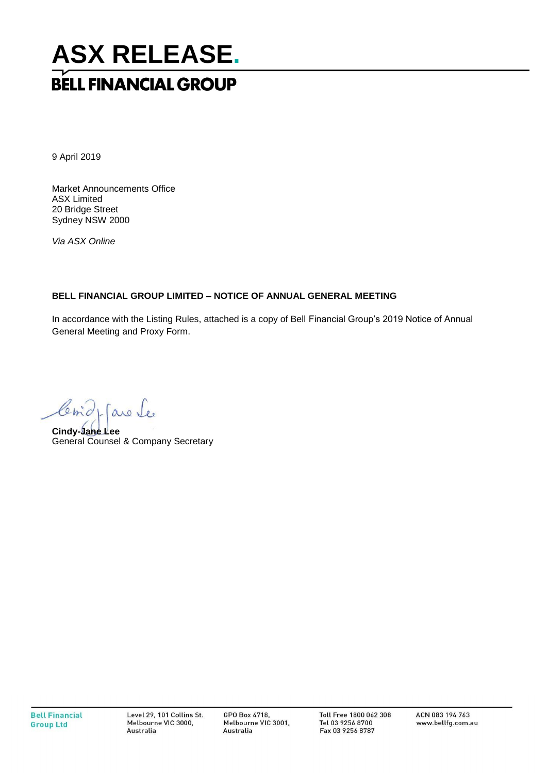# **ASX RELEASE. BELL FINANCIAL GROUP**

9 April 2019

Market Announcements Office ASX Limited 20 Bridge Street Sydney NSW 2000

*Via ASX Online*

### **BELL FINANCIAL GROUP LIMITED – NOTICE OF ANNUAL GENERAL MEETING**

In accordance with the Listing Rules, attached is a copy of Bell Financial Group's 2019 Notice of Annual General Meeting and Proxy Form.

Com de La Se

General Counsel & Company Secretary **Cindy-Jane Lee**

GPO Box 4718, Melbourne VIC 3001, Australia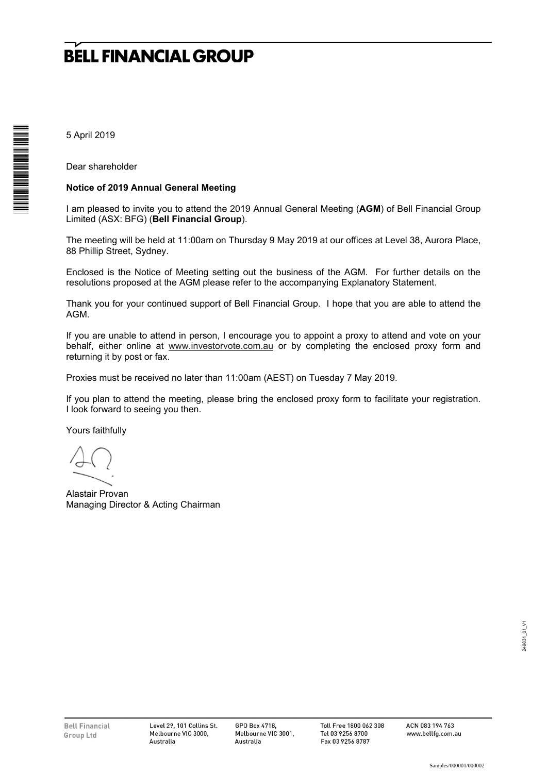5 April 2019

Dear shareholder

#### **Notice of 2019 Annual General Meeting**

I am pleased to invite you to attend the 2019 Annual General Meeting (**AGM**) of Bell Financial Group Limited (ASX: BFG) (**Bell Financial Group**).

The meeting will be held at 11:00am on Thursday 9 May 2019 at our offices at Level 38, Aurora Place, 88 Phillip Street, Sydney.

Enclosed is the Notice of Meeting setting out the business of the AGM. For further details on the resolutions proposed at the AGM please refer to the accompanying Explanatory Statement.

Thank you for your continued support of Bell Financial Group. I hope that you are able to attend the AGM.

If you are unable to attend in person, I encourage you to appoint a proxy to attend and vote on your behalf, either online at www.investorvote.com.au or by completing the enclosed proxy form and returning it by post or fax.

Proxies must be received no later than 11:00am (AEST) on Tuesday 7 May 2019.

If you plan to attend the meeting, please bring the enclosed proxy form to facilitate your registration. I look forward to seeing you then.

Yours faithfully

Alastair Provan Managing Director & Acting Chairman

ACN 083 194 763<br>www.bellfg.com.au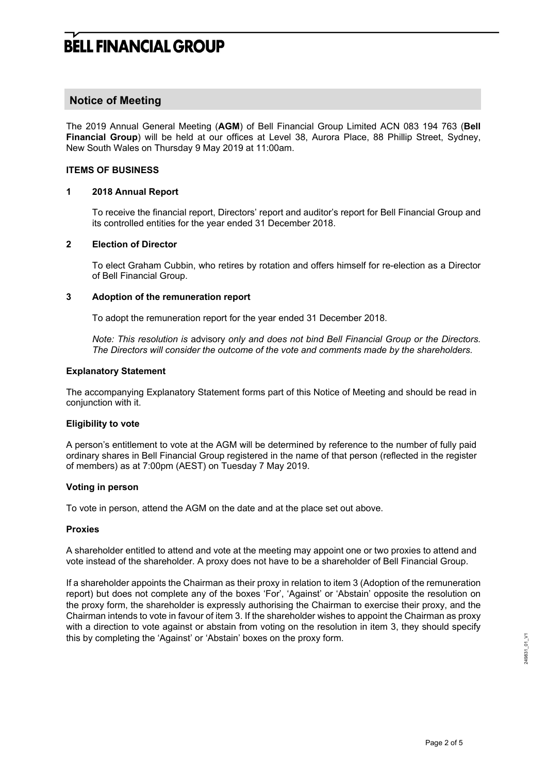### **Notice of Meeting**

The 2019 Annual General Meeting (**AGM**) of Bell Financial Group Limited ACN 083 194 763 (**Bell Financial Group**) will be held at our offices at Level 38, Aurora Place, 88 Phillip Street, Sydney, New South Wales on Thursday 9 May 2019 at 11:00am.

#### **ITEMS OF BUSINESS**

#### **1 2018 Annual Report**

To receive the financial report, Directors' report and auditor's report for Bell Financial Group and its controlled entities for the year ended 31 December 2018.

#### **2 Election of Director**

To elect Graham Cubbin, who retires by rotation and offers himself for re-election as a Director of Bell Financial Group.

#### **3 Adoption of the remuneration report**

To adopt the remuneration report for the year ended 31 December 2018.

*Note: This resolution is* advisory *only and does not bind Bell Financial Group or the Directors. The Directors will consider the outcome of the vote and comments made by the shareholders.* 

#### **Explanatory Statement**

The accompanying Explanatory Statement forms part of this Notice of Meeting and should be read in conjunction with it.

#### **Eligibility to vote**

A person's entitlement to vote at the AGM will be determined by reference to the number of fully paid ordinary shares in Bell Financial Group registered in the name of that person (reflected in the register of members) as at 7:00pm (AEST) on Tuesday 7 May 2019.

#### **Voting in person**

To vote in person, attend the AGM on the date and at the place set out above.

#### **Proxies**

A shareholder entitled to attend and vote at the meeting may appoint one or two proxies to attend and vote instead of the shareholder. A proxy does not have to be a shareholder of Bell Financial Group.

If a shareholder appoints the Chairman as their proxy in relation to item 3 (Adoption of the remuneration report) but does not complete any of the boxes 'For', 'Against' or 'Abstain' opposite the resolution on the proxy form, the shareholder is expressly authorising the Chairman to exercise their proxy, and the Chairman intends to vote in favour of item 3. If the shareholder wishes to appoint the Chairman as proxy with a direction to vote against or abstain from voting on the resolution in item 3, they should specify this by completing the 'Against' or 'Abstain' boxes on the proxy form.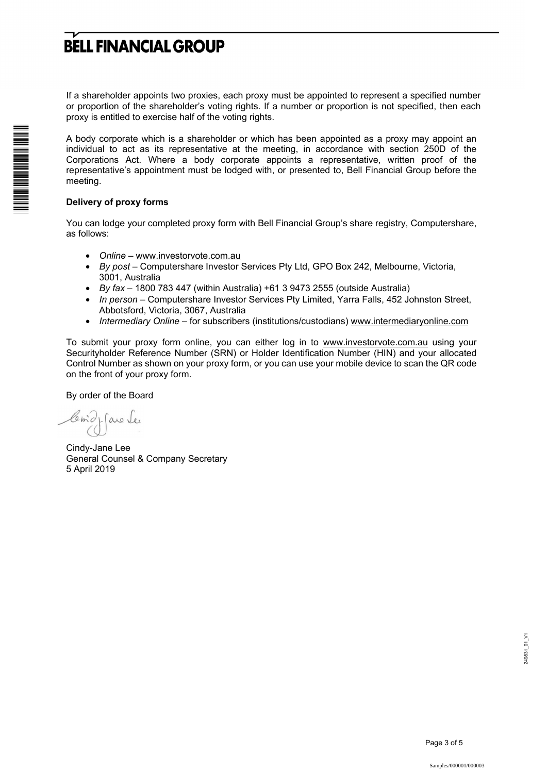If a shareholder appoints two proxies, each proxy must be appointed to represent a specified number or proportion of the shareholder's voting rights. If a number or proportion is not specified, then each proxy is entitled to exercise half of the voting rights.

A body corporate which is a shareholder or which has been appointed as a proxy may appoint an individual to act as its representative at the meeting, in accordance with section 250D of the Corporations Act. Where a body corporate appoints a representative, written proof of the representative's appointment must be lodged with, or presented to, Bell Financial Group before the meeting.

#### **Delivery of proxy forms**

You can lodge your completed proxy form with Bell Financial Group's share registry, Computershare, as follows:

- *Online* www.investorvote.com.au
- *By post* Computershare Investor Services Pty Ltd, GPO Box 242, Melbourne, Victoria, 3001, Australia
- *By fax*  1800 783 447 (within Australia) +61 3 9473 2555 (outside Australia)
- *In person* Computershare Investor Services Pty Limited, Yarra Falls, 452 Johnston Street, Abbotsford, Victoria, 3067, Australia
- *Intermediary Online* for subscribers (institutions/custodians) www.intermediaryonline.com

To submit your proxy form online, you can either log in to www.investorvote.com.au using your Securityholder Reference Number (SRN) or Holder Identification Number (HIN) and your allocated Control Number as shown on your proxy form, or you can use your mobile device to scan the QR code on the front of your proxy form.

By order of the Board

1- are les

Cindy-Jane Lee General Counsel & Company Secretary 5 April 2019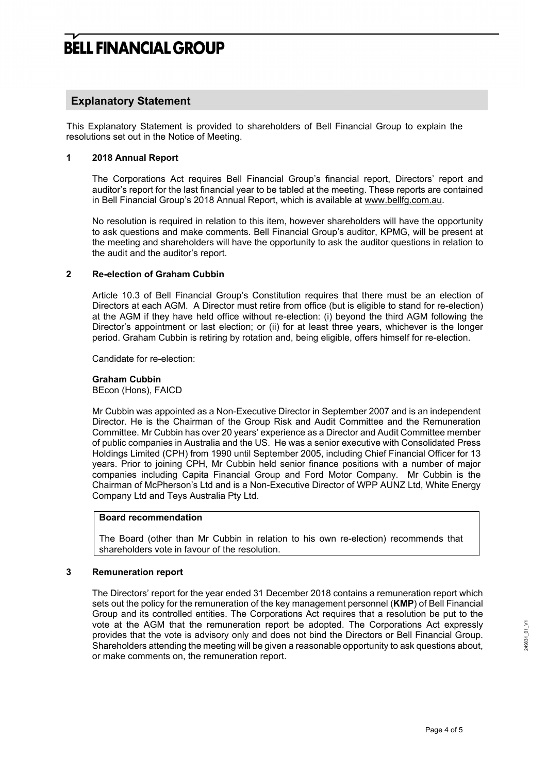### **Explanatory Statement**

This Explanatory Statement is provided to shareholders of Bell Financial Group to explain the resolutions set out in the Notice of Meeting.

#### **1 2018 Annual Report**

The Corporations Act requires Bell Financial Group's financial report, Directors' report and auditor's report for the last financial year to be tabled at the meeting. These reports are contained in Bell Financial Group's 2018 Annual Report, which is available at www.bellfg.com.au.

No resolution is required in relation to this item, however shareholders will have the opportunity to ask questions and make comments. Bell Financial Group's auditor, KPMG, will be present at the meeting and shareholders will have the opportunity to ask the auditor questions in relation to the audit and the auditor's report.

#### **2 Re-election of Graham Cubbin**

Article 10.3 of Bell Financial Group's Constitution requires that there must be an election of Directors at each AGM. A Director must retire from office (but is eligible to stand for re-election) at the AGM if they have held office without re-election: (i) beyond the third AGM following the Director's appointment or last election; or (ii) for at least three years, whichever is the longer period. Graham Cubbin is retiring by rotation and, being eligible, offers himself for re-election.

Candidate for re-election:

#### **Graham Cubbin**

BEcon (Hons), FAICD

Mr Cubbin was appointed as a Non-Executive Director in September 2007 and is an independent Director. He is the Chairman of the Group Risk and Audit Committee and the Remuneration Committee. Mr Cubbin has over 20 years' experience as a Director and Audit Committee member of public companies in Australia and the US. He was a senior executive with Consolidated Press Holdings Limited (CPH) from 1990 until September 2005, including Chief Financial Officer for 13 years. Prior to joining CPH, Mr Cubbin held senior finance positions with a number of major companies including Capita Financial Group and Ford Motor Company. Mr Cubbin is the Chairman of McPherson's Ltd and is a Non-Executive Director of WPP AUNZ Ltd, White Energy Company Ltd and Teys Australia Pty Ltd.

#### **Board recommendation**

The Board (other than Mr Cubbin in relation to his own re-election) recommends that shareholders vote in favour of the resolution.

#### **3 Remuneration report**

The Directors' report for the year ended 31 December 2018 contains a remuneration report which sets out the policy for the remuneration of the key management personnel (**KMP**) of Bell Financial Group and its controlled entities. The Corporations Act requires that a resolution be put to the vote at the AGM that the remuneration report be adopted. The Corporations Act expressly provides that the vote is advisory only and does not bind the Directors or Bell Financial Group. Shareholders attending the meeting will be given a reasonable opportunity to ask questions about, or make comments on, the remuneration report.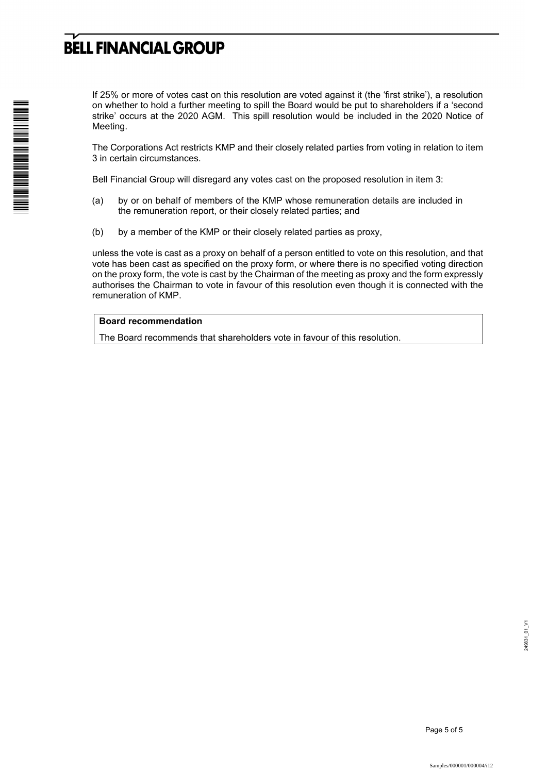If 25% or more of votes cast on this resolution are voted against it (the 'first strike'), a resolution on whether to hold a further meeting to spill the Board would be put to shareholders if a 'second strike' occurs at the 2020 AGM. This spill resolution would be included in the 2020 Notice of Meeting.

The Corporations Act restricts KMP and their closely related parties from voting in relation to item 3 in certain circumstances.

Bell Financial Group will disregard any votes cast on the proposed resolution in item 3:

- (a) by or on behalf of members of the KMP whose remuneration details are included in the remuneration report, or their closely related parties; and
- (b) by a member of the KMP or their closely related parties as proxy,

unless the vote is cast as a proxy on behalf of a person entitled to vote on this resolution, and that vote has been cast as specified on the proxy form, or where there is no specified voting direction on the proxy form, the vote is cast by the Chairman of the meeting as proxy and the form expressly authorises the Chairman to vote in favour of this resolution even though it is connected with the remuneration of KMP.

#### **Board recommendation**

The Board recommends that shareholders vote in favour of this resolution.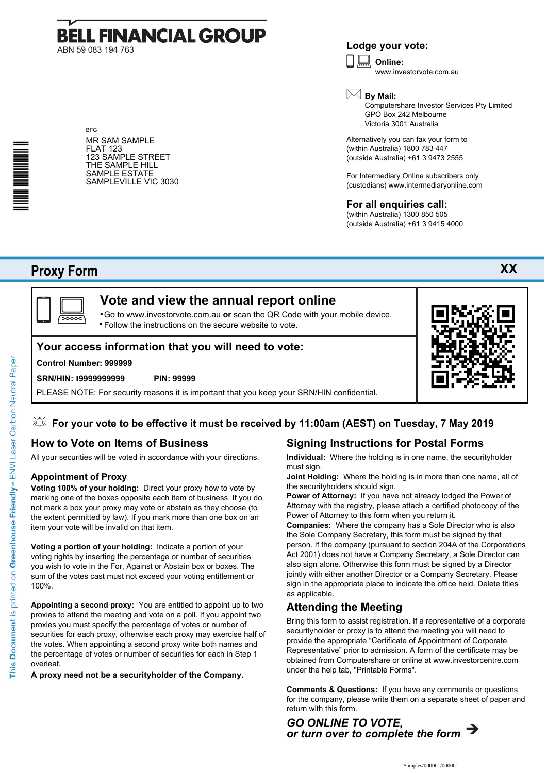# **BELL FINANCIAL GROUP** ABN 59 083 194 763

## **Lodge your vote:**

**Online:** www.investorvote.com.au

**By Mail:**

Computershare Investor Services Pty Limited GPO Box 242 Melbourne Victoria 3001 Australia

Alternatively you can fax your form to (within Australia) 1800 783 447 (outside Australia) +61 3 9473 2555

For Intermediary Online subscribers only (custodians) www.intermediaryonline.com

### **For all enquiries call:**

(within Australia) 1300 850 505 (outside Australia) +61 3 9415 4000

# **Proxy Form**



Go to www.investorvote.com.au **or** scan the QR Code with your mobile device. Follow the instructions on the secure website to vote. •

## **Your access information that you will need to vote:**

#### **Control Number: 999999**

#### **SRN/HIN: I9999999999 PIN: 99999**

PLEASE NOTE: For security reasons it is important that you keep your SRN/HIN confidential.

## **For your vote to be effective it must be received by 11:00am (AEST) on Tuesday, 7 May 2019**

# **How to Vote on Items of Business**

All your securities will be voted in accordance with your directions.

#### **Appointment of Proxy**

**Voting 100% of your holding:** Direct your proxy how to vote by marking one of the boxes opposite each item of business. If you do not mark a box your proxy may vote or abstain as they choose (to the extent permitted by law). If you mark more than one box on an item your vote will be invalid on that item.

**Voting a portion of your holding:** Indicate a portion of your voting rights by inserting the percentage or number of securities you wish to vote in the For, Against or Abstain box or boxes. The sum of the votes cast must not exceed your voting entitlement or 100%.

**Appointing a second proxy:** You are entitled to appoint up to two proxies to attend the meeting and vote on a poll. If you appoint two proxies you must specify the percentage of votes or number of securities for each proxy, otherwise each proxy may exercise half of the votes. When appointing a second proxy write both names and the percentage of votes or number of securities for each in Step 1 overleaf.

**A proxy need not be a securityholder of the Company.**

# **Signing Instructions for Postal Forms**

**Individual:** Where the holding is in one name, the securityholder must sign.

**Joint Holding:** Where the holding is in more than one name, all of the securityholders should sign.

**Power of Attorney:** If you have not already lodged the Power of Attorney with the registry, please attach a certified photocopy of the Power of Attorney to this form when you return it.

**Companies:** Where the company has a Sole Director who is also the Sole Company Secretary, this form must be signed by that person. If the company (pursuant to section 204A of the Corporations Act 2001) does not have a Company Secretary, a Sole Director can also sign alone. Otherwise this form must be signed by a Director jointly with either another Director or a Company Secretary. Please sign in the appropriate place to indicate the office held. Delete titles as applicable.

## **Attending the Meeting**

Bring this form to assist registration. If a representative of a corporate securityholder or proxy is to attend the meeting you will need to provide the appropriate "Certificate of Appointment of Corporate Representative" prior to admission. A form of the certificate may be obtained from Computershare or online at www.investorcentre.com under the help tab, "Printable Forms".

**Comments & Questions:** If you have any comments or questions for the company, please write them on a separate sheet of paper and return with this form.



**XX**



 $\square$  :



**BFG** 

FLAT 123

MR SAM SAMPLE

123 SAMPLE STREET THE SAMPLE HILL SAMPLE ESTATE SAMPLEVILLE VIC 3030